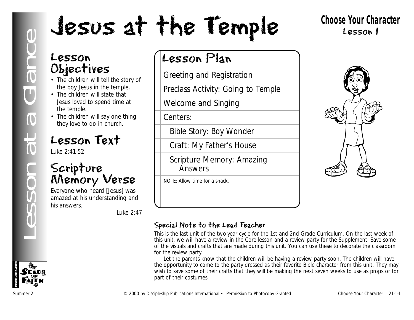# Lesson<br>
Contractives<br>
Controllident will tell the story of<br>
The children will tell the story of<br>
the children will star then<br>
the physics hourd through the temple.<br>
Lesson Text<br>
Lesson Text<br>
Lesson Text<br>
Lesson Text<br>
Lesso

# **Choose Your Character** Lesson 1

# Lesson Objectives

- The children will tell the story of the boy Jesus in the temple.
- The children will state that Jesus loved to spend time at the temple.
- The children will say one thing they love to do in church.

# Lesson Text

Luke 2:41-52

# Scripture Memory Verse

Everyone who heard [Jesus] was amazed at his understanding and his answers.

*Luke 2:47*

# Lesson Plan

Greeting and Registration

Preclass Activity: Going to Temple

Welcome and Singing

Centers:

Bible Story: Boy Wonder

Craft: My Father's House

Scripture Memory: Amazing **Answers** 

NOTE: Allow time for a snack.



#### Special Note to the Lead Teacher

This is the last unit of the two-year cycle for the 1st and 2nd Grade Curriculum. On the last week of this unit, we will have a review in the Core lesson and a review party for the Supplement. Save some of the visuals and crafts that are made during this unit. You can use these to decorate the classroom for the review party.

Let the parents know that the children will be having a review party soon. The children will have the opportunity to come to the party dressed as their favorite Bible character from this unit. They may wish to save some of their crafts that they will be making the next seven weeks to use as props or for part of their costumes.

**1st and 2nd Grades**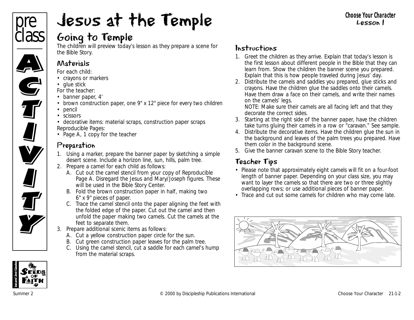

**G**<br>T

**II**<br><u>II</u>

U<br>V

**V**<br>I

**All** 

**TV** 

# Jesus at the Temple

# Going to Temple

The children will preview today's lesson as they prepare a scene for the Bible Story.

#### Materials

*For each child:*

- crayons or markers
- glue stick

*For the teacher:*

- banner paper, 4'
- brown construction paper, one 9" x 12" piece for every two children
- pencil
- scissors

• decorative items: material scraps, construction paper scraps *Reproducible Pages:*

• Page A, 1 copy for the teacher

# Preparation

- 1. Using a marker, prepare the banner paper by sketching a simple desert scene. Include a horizon line, sun, hills, palm tree.
- 2. Prepare a camel for each child as follows:
	- A. Cut out the camel stencil from your copy of Reproducible Page A. Disregard the Jesus and Mary/Joseph figures. These will be used in the Bible Story Center.
	- B. Fold the brown construction paper in half, making two 6" x 9" pieces of paper.
	- C. Trace the camel stencil onto the paper aligning the feet with the folded edge of the paper. Cut out the camel and then unfold the paper making two camels. Cut the camels at the feet to separate them.
- 3. Prepare additional scenic items as follows:
	- A. Cut a yellow construction paper circle for the sun.
	- B. Cut green construction paper leaves for the palm tree.
	- C. Using the camel stencil, cut a saddle for each camel's hump from the material scraps.

# Instructions

- 1. Greet the children as they arrive. Explain that today's lesson is the first lesson about different people in the Bible that they can learn from. Show the children the banner scene you prepared. Explain that this is how people traveled during Jesus' day.
- 2. Distribute the camels and saddles you prepared, glue sticks and crayons. Have the children glue the saddles onto their camels. Have them draw a face on their camels, and write their names on the camels' legs.

NOTE: Make sure their camels are all facing left and that they decorate the correct sides.

- 3. Starting at the right side of the banner paper, have the children take turns gluing their camels in a row or "caravan." See sample.
- 4. Distribute the decorative items. Have the children glue the sun in the background and leaves of the palm trees you prepared. Have them color in the background scene.
- 5. Give the banner caravan scene to the Bible Story teacher.

# Teacher Tips

- Please note that approximately eight camels will fit on a four-foot length of banner paper. Depending on your class size, you may want to layer the camels so that there are two or three slightly overlapping rows; or use additional pieces of banner paper.
- Trace and cut out some camels for children who may come late.



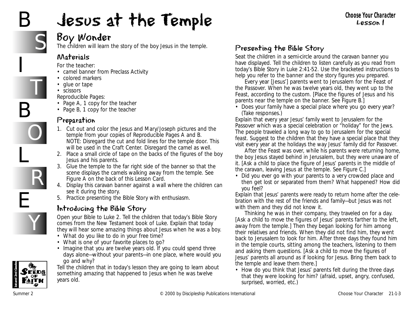# B

B

L

E

# Jesus at the Temple



T

O

R

# Boy Wonder

The children will learn the story of the boy Jesus in the temple.

#### Materials

*For the teacher:*

- camel banner from Preclass Activity
- colored markers
- glue or tape
- scissors

*Reproducible Pages:*

- Page A, 1 copy for the teacher
- Page B, 1 copy for the teacher

#### Preparation

- 1. Cut out and color the Jesus and Mary/Joseph pictures and the temple from your copies of Reproducible Pages A and B. NOTE: Disregard the cut and fold lines for the temple door. This will be used in the Craft Center. Disregard the camel as well.
- 2. Place a small circle of tape on the backs of the figures of the boy Jesus and his parents.
- 3. Glue the temple to the far right side of the banner so that the scene displays the camels walking away from the temple. See Figure A on the back of this Lesson Card.
- 4. Display this caravan banner against a wall where the children can see it during the story.
- 5. Practice presenting the Bible Story with enthusiasm.

# Introducing the Bible Story



Open your Bible to Luke 2. Tell the children that today's Bible Story comes from the New Testament book of Luke. Explain that today they will hear some amazing things about Jesus when he was a boy.

- *What do you like to do in your free time?*
- *What is one of your favorite places to go?*
- *Imagine that you are twelve years old. If you could spend three days alone—without your parents—in one place, where would you go and why?*



Tell the children that in today's lesson they are going to learn about something amazing that happened to Jesus when he was twelve years old.

# Presenting the Bible Story

Seat the children in a semi-circle around the caravan banner you have displayed. Tell the children to listen carefully as you read from today's Bible Story in Luke 2:41-52. Use the bracketed instructions to help you refer to the banner and the story figures you prepared.

*Every year [Jesus'] parents went to Jerusalem for the Feast of the Passover. When he was twelve years old, they went up to the Feast, according to the custom.* [Place the figures of Jesus and his parents near the temple on the banner. See Figure B.]

• *Does your family have a special place where you go every year?* (Take responses.)

Explain that every year Jesus' family went to Jerusalem for the Passover which was a special celebration or "holiday" for the Jews. The people traveled a long way to go to Jerusalem for the special feast. Suggest to the children that they have a special place that they visit every year at the holidays the way Jesus' family did for Passover.

*After the Feast was over, while his parents were returning home, the boy Jesus stayed behind in Jerusalem, but they were unaware of it.* [Ask a child to place the figure of Jesus' parents in the middle of the caravan, leaving Jesus at the temple. See Figure C.]

• *Did you ever go with your parents to a very crowded place and then get lost or separated from them? What happened? How did you feel?*

Explain that Jesus' parents were ready to return home after the celebration with the rest of the friends and family—but Jesus was not with them and they did not know it.

*Thinking he was in their company, they traveled on for a day.* [Ask a child to move the figures of Jesus' parents farther to the left, away from the temple.] *Then they began looking for him among their relatives and friends. When they did not find him, they went back to Jerusalem to look for him. After three days they found him in the temple courts, sitting among the teachers, listening to them and asking them questions.* [Ask a child to move the figures of Jesus' parents all around as if looking for Jesus. Bring them back to the temple and leave them there.]

• *How do you think that Jesus' parents felt during the three days that they were looking for him?* (afraid, upset, angry, confused, surprised, worried, etc.)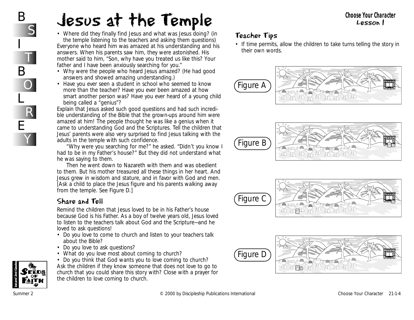- *Where did they finally find Jesus and what was Jesus doing?* (in the temple listening to the teachers and asking them questions) *Everyone who heard him was amazed at his understanding and his answers. When his parents saw him, they were astonished. His mother said to him, "Son, why have you treated us like this? Your father and I have been anxiously searching for you."*
- *Why were the people who heard Jesus amazed?* (He had good answers and showed amazing understanding.)
- *Have you ever seen a student in school who seemed to know more than the teacher? Have you ever been amazed at how smart another person was? Have you ever heard of a young child being called a "genius"?*

Explain that Jesus asked such good questions and had such incredible understanding of the Bible that the grown-ups around him were amazed at him! The people thought he was like a genius when it came to understanding God and the Scriptures. Tell the children that Jesus' parents were also very surprised to find Jesus talking with the adults in the temple with such confidence.

*"Why were you searching for me?" he asked. "Didn't you know I had to be in my Father's house?" But they did not understand what he was saying to them.* 

*Then he went down to Nazareth with them and was obedient to them. But his mother treasured all these things in her heart. And Jesus grew in wisdom and stature, and in favor with God and men.* [Ask a child to place the Jesus figure and his parents walking away from the temple. See Figure D.]

## Share and Tell

Remind the children that Jesus loved to be in his Father's house because God is his Father. As a boy of twelve years old, Jesus loved to listen to the teachers talk about God and the Scripture—and he loved to ask questions!

- *Do you love to come to church and listen to your teachers talk about the Bible?*
- *Do you love to ask questions?*
- *What do you love most about coming to church?*
- *Do you think that God wants you to love coming to church?*

Ask the children if they know someone that does not love to go to church that you could share this story with? Close with a prayer for the children to love coming to church.

# Teacher Tips

• If time permits, allow the children to take turns telling the story in their own words.











**Choose Your Character** Lesson 1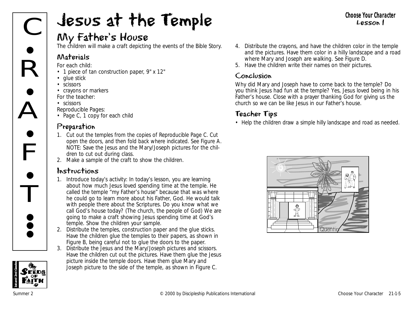# My Father's House

The children will make a craft depicting the events of the Bible Story.

#### Materials

*For each child:*

- 1 piece of tan construction paper, 9" x 12"
- glue stick
- scissors
- crayons or markers *For the teacher:*
- scissors

*Reproducible Pages:*

• Page C, 1 copy for each child

## Preparation

- 1. Cut out the temples from the copies of Reproducible Page C. Cut open the doors, and then fold back where indicated. See Figure A. NOTE: Save the Jesus and the Mary/Joseph pictures for the children to cut out during class.
- 2. Make a sample of the craft to show the children.

#### Instructions

- 1. Introduce today's activity: *In today's lesson, you are learning about how much Jesus loved spending time at the temple. He called the temple "my Father's house" because that was where he could go to learn more about his Father, God. He would talk with people there about the Scriptures. Do you know what we call God's house today?* (The church, the people of God) *We are going to make a craft showing Jesus spending time at God's temple.* Show the children your sample.
- 2. Distribute the temples, construction paper and the glue sticks. Have the children glue the temples to their papers, as shown in Figure B, being careful not to glue the doors to the paper. Temple. Show the children your sample.<br>
2. Distribute the temples, construction paper and the glue sticks.<br>
Have the children glue the temples to their papers, as shown in<br>
Figure B, being careful not to glue the doors to
	- 3. Distribute the Jesus and the Mary/Joseph pictures and scissors. Have the children cut out the pictures. Have them glue the Jesus picture inside the temple doors. Have them glue Mary and Joseph picture to the side of the temple, as shown in Figure C.
- 4. Distribute the crayons, and have the children color in the temple and the pictures. Have them color in a hilly landscape and a road where Mary and Joseph are walking. See Figure D.
- 5. Have the children write their names on their pictures.

#### Conclusion

*Why did Mary and Joseph have to come back to the temple? Do you think Jesus had fun at the temple? Yes, Jesus loved being in his Father's house.* Close with a prayer thanking God for giving us the church so we can be like Jesus in our Father's house.

# Teacher Tips

• Help the children draw a simple hilly landscape and road as needed.



**1st and 2nd Grades**

#### **Choose Your Character** Lesson 1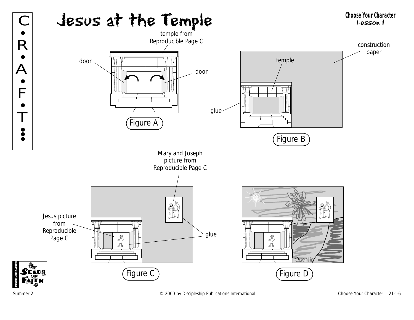

**1st and 2nd Grades**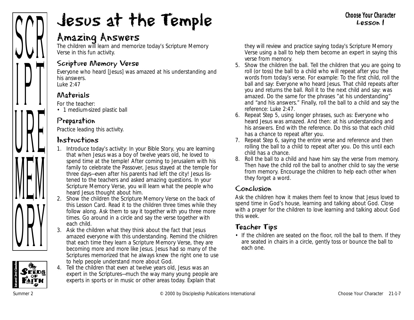

# Amazing Answers

The children will learn and memorize today's Scripture Memory Verse in this fun activity.

#### Scripture Memory Verse

Everyone who heard [Jesus] was amazed at his understanding and his answers. *Luke 2:47*

## Materials

*For the teacher:*

• 1 medium-sized plastic ball

#### Preparation

Practice leading this activity.

#### Instructions

- 1. Introduce today's activity: *In your Bible Story, you are learning that when Jesus was a boy of twelve years old, he loved to spend time at the temple! After coming to Jerusalem with his family to celebrate the Passover, Jesus stayed at the temple for three days—even after his parents had left the city! Jesus listened to the teachers and asked amazing questions. In your Scripture Memory Verse, you will learn what the people who heard Jesus thought about him.*
- 2. Show the children the Scripture Memory Verse on the back of this Lesson Card. Read it to the children three times while they follow along. Ask them to say it together with you three more times. Go around in a circle and say the verse together with each child.
- 3. Ask the children what they think about the fact that Jesus amazed everyone with this understanding. Remind the children that each time they learn a Scripture Memory Verse, they are becoming more and more like Jesus. Jesus had so many of the Scriptures memorized that he always knew the right one to use to help people understand more about God.
- 4. Tell the children that even at twelve years old, Jesus was an expert in the Scriptures—much the way many young people are experts in sports or in music or other areas today. Explain that

they will review and practice saying today's Scripture Memory Verse using a ball to help them become an expert in saying this verse from memory.

- 5. Show the children the ball. Tell the children that you are going to roll (or toss) the ball to a child who will repeat after you the words from today's verse. For example: To the first child, roll the ball and say: *Everyone who heard Jesus*. That child repeats after you and returns the ball. Roll it to the next child and say: *was amazed*. Do the same for the phrases "at his understanding" and "and his answers." Finally, roll the ball to a child and say the reference: *Luke 2:47.*
- 6. Repeat Step 5, using longer phrases, such as: *Everyone who heard Jesus was amazed.* And then: *at his understanding and his answers*. End with the reference. Do this so that each child has a chance to repeat after you.
- 7. Repeat Step 6, saying the entire verse and reference and then rolling the ball to a child to repeat after you. Do this until each child has a chance.
- 8. Roll the ball to a child and have him say the verse from memory. Then have the child roll the ball to another child to say the verse from memory. Encourage the children to help each other when they forget a word.

#### Conclusion

Ask the children how it makes them feel to know that Jesus loved to spend time in God's house, learning and talking about God. Close with a prayer for the children to love learning and talking about God this week.

# Teacher Tips

• If the children are seated on the floor, roll the ball to them. If they are seated in chairs in a circle, gently toss or bounce the ball to each one.

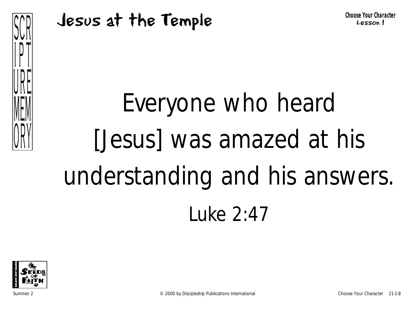

**Choose Your Character** Lesson 1

# Everyone who heard [Jesus] was amazed at his understanding and his answers. Luke 2:47



Summer 2 © 2000 by Discipleship Publications International Choose Your Character 21-1-8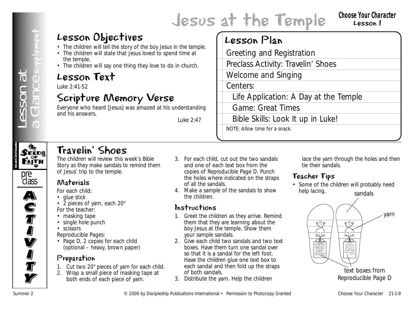#### **Choose Your Character** Lesson 1

# Lesson Objectives

- The children will tell the story of the boy Jesus in the temple.
- The children will state that Jesus loved to spend time at the temple.
- The children will say one thing they love to do in church.

# Lesson Text

# Scripture Memory Verse

# Lesson Plan

| R<br><b>UDS</b><br>UOS                                     | Lesson Objectives<br>• The children will tell the story of the boy Jesus in the temple.<br>• The children will state that Jesus loved to spend time at<br>the temple.<br>• The children will say one thing they love to do in church.<br>Lesson Text<br>Luke 2:41-52<br>Scripture Memory Verse<br>Everyone who heard [Jesus] was amazed at his understanding<br>and his answers.<br>Luke 2:47                                                                                                                                                         |                                                                                                  | Lesson Plan<br>Greeting and Registration<br>Preclass Activity: Travelin' Shoes<br>Welcome and Singing<br>Centers:<br>Life Application: A Day at the Temple                                                                                                                                                                                                                                                                                                                                                                                                                                                          |                                                                                                                                                                                                                                                                                                                                                                                                                    |  |
|------------------------------------------------------------|-------------------------------------------------------------------------------------------------------------------------------------------------------------------------------------------------------------------------------------------------------------------------------------------------------------------------------------------------------------------------------------------------------------------------------------------------------------------------------------------------------------------------------------------------------|--------------------------------------------------------------------------------------------------|---------------------------------------------------------------------------------------------------------------------------------------------------------------------------------------------------------------------------------------------------------------------------------------------------------------------------------------------------------------------------------------------------------------------------------------------------------------------------------------------------------------------------------------------------------------------------------------------------------------------|--------------------------------------------------------------------------------------------------------------------------------------------------------------------------------------------------------------------------------------------------------------------------------------------------------------------------------------------------------------------------------------------------------------------|--|
| $\boldsymbol{v}$<br>$\psi$                                 |                                                                                                                                                                                                                                                                                                                                                                                                                                                                                                                                                       |                                                                                                  | <b>Game: Great Times</b><br>Bible Skills: Look It up in Luke!<br>NOTE: Allow time for a snack.                                                                                                                                                                                                                                                                                                                                                                                                                                                                                                                      |                                                                                                                                                                                                                                                                                                                                                                                                                    |  |
| ❤<br>Seeds<br>- ор<br>Гајтн<br>pre<br>class<br>ふのゴマニア<br>Ÿ | Travelin' Shoes<br>The children will review this week's Bible<br>Story as they make sandals to remind them<br>of Jesus' trip to the temple.<br>Materials<br>For each child:<br>• glue stick<br>• 2 pieces of yarn, each 20"<br>For the teacher:<br>• masking tape<br>· single hole punch<br>• scissors<br>Reproducible Pages:<br>• Page D, 2 copies for each child<br>(optional - heavy, brown paper)<br>Preparation<br>1. Cut two 20" pieces of yarn for each child.<br>2. Wrap a small piece of masking tape at<br>both ends of each piece of yarn. | of all the sandals.<br>the children.<br>Instructions<br>your sample sandals.<br>of both sandals. | 3. For each child, cut out the two sandals<br>and one of each text box from the<br>copies of Reproducible Page D. Punch<br>the holes where indicated on the straps<br>4. Make a sample of the sandals to show<br>1. Greet the children as they arrive. Remind<br>them that they are learning about the<br>boy Jesus at the temple. Show them<br>2. Give each child two sandals and two text<br>boxes. Have them turn one sandal over<br>so that it is a sandal for the left foot.<br>Have the children glue one text box to<br>each sandal and then fold up the straps<br>3. Distribute the yarn. Help the children | lace the yarn through the holes and then<br>tie their sandals.<br>Teacher Tips<br>• Some of the children will probably need<br>help lacing.<br>sandals<br>yarn<br>RH P<br>ৎ∏ഉ<br>$\infty$<br>०∦०<br>$\overrightarrow{AB}$<br>$\overline{\mathcal{P}}$<br>[Jesus] in th<br>sitting amon<br>the teachers<br>listening to<br>listening to<br>them question<br>them question<br>text boxes from<br>Reproducible Page D |  |
| Summer 2                                                   |                                                                                                                                                                                                                                                                                                                                                                                                                                                                                                                                                       |                                                                                                  | © 2000 by Discipleship Publications International • Permission to Photocopy Granted                                                                                                                                                                                                                                                                                                                                                                                                                                                                                                                                 | Choose Your Character 21-1-9                                                                                                                                                                                                                                                                                                                                                                                       |  |

# **1st and 2nd Grades**

# Travelin' Shoes

# pre class  $\overline{\mathbf{A}}$ A)<br>C

- *For each child:* • glue stick • 2 pieces of yarn, each 20" *For the teacher:*
	- masking tape

- single hole punch
- scissors

# Preparation

- 1. Cut two 20" pieces of yarn for each child.
- 2. Wrap a small piece of masking tape at
- both ends of each piece of yarn.
- 3. For each child, cut out the two sandals and one of each text box from the copies of Reproducible Page D. Punch the holes where indicated on the straps of all the sandals.
- 4. Make a sample of the sandals to show the children.

# Instructions

- 1. Greet the children as they arrive. Remind them that they are learning about the boy Jesus at the temple. Show them your sample sandals.
- 2. Give each child two sandals and two text boxes. Have them turn one sandal over so that it is a sandal for the left foot. Have the children glue one text box to each sandal and then fold up the straps of both sandals.
- 3. Distribute the yarn. Help the children

# Teacher Tips

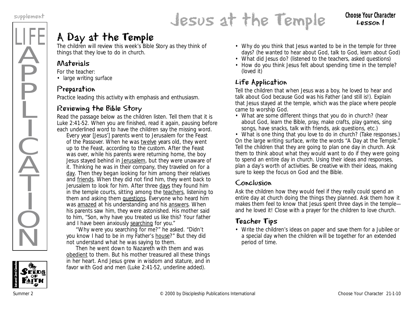LIFE

Ä

**P** 

P

Ļ

I

 $\frac{1}{2}$ 

 $\widecheck{\mathrm{A}}$ 

T

I

 $\dot{Q}$ 

 $\overline{\textsf{N}}$ 

# supplement **Lesus at the Temple** choose Your Character

# Lesson 1

# A Day at the Temple

The children will review this week's Bible Story as they think of things that they love to do in church.

# Materials

*For the teacher:*

• large writing surface

## Preparation

Practice leading this activity with emphasis and enthusiasm.

# Reviewing the Bible Story

Read the passage below as the children listen. Tell them that it is Luke 2:41-52. When you are finished, read it again, pausing before each underlined word to have the children say the missing word.

*Every year [Jesus'] parents went to Jerusalem for the Feast of the Passover. When he was twelve years old, they went up to the Feast, according to the custom. After the Feast was over, while his parents were returning home, the boy Jesus stayed behind in Jerusalem, but they were unaware of it. Thinking he was in their company, they traveled on for a day. Then they began looking for him among their relatives and friends. When they did not find him, they went back to Jerusalem to look for him. After three days they found him in the temple courts, sitting among the teachers, listening to them and asking them questions. Everyone who heard him was amazed at his understanding and his answers. When his parents saw him, they were astonished. His mother said to him, "Son, why have you treated us like this? Your father and I have been anxiously searching for you."* 

*"Why were you searching for me?" he asked. "Didn't you know I had to be in my Father's house?" But they did not understand what he was saying to them.* 

*Then he went down to Nazareth with them and was obedient to them. But his mother treasured all these things in her heart. And Jesus grew in wisdom and stature, and in favor with God and men* (Luke 2:41-52, underline added).

- *Why do you think that Jesus wanted to be in the temple for three days?* (he wanted to hear about God, talk to God, learn about God)
- *What did Jesus do?* (listened to the teachers, asked questions)
- *How do you think Jesus felt about spending time in the temple?* (loved it)

# Life Application

Tell the children that when Jesus was a boy, he loved to hear and talk about God because God was his Father (and still is!). Explain that Jesus stayed at the temple, which was the place where people came to worship God.

• *What are some different things that you do in church?* (hear about God, learn the Bible, pray, make crafts, play games, sing songs, have snacks, talk with friends, ask questions, etc.)

• *What is one thing that you love to do in church?* (Take responses.) On the large writing surface, write the words "A Day at the Temple." Tell the children that they are going to plan one day in church. Ask them to think about what they would want to do if they were going to spend an entire day in church. Using their ideas and responses, plan a day's worth of activities. Be creative with their ideas, making sure to keep the focus on God and the Bible.

#### Conclusion

Ask the children how they would feel if they really could spend an entire day at church doing the things they planned. Ask them how it makes them feel to know that Jesus spent three days in the temple and he loved it! Close with a prayer for the children to love church.

# Teacher Tips

• Write the children's ideas on paper and save them for a Jubilee or a special day when the children will be together for an extended period of time.

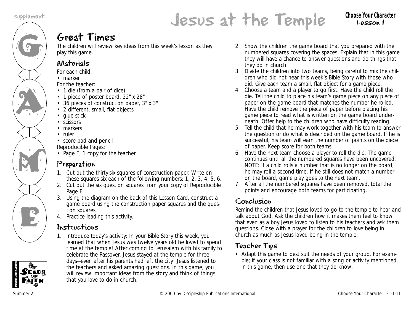G

AN A

M

K<br>E

# supplement **Jesus at the Temple** choose your character

Lesson 1

# Great Times

The children will review key ideas from this week's lesson as they play this game.

## Materials

- *For each child:*
- marker
- *For the teacher:*
- 1 die (from a pair of dice)
- 1 piece of poster board, 22" x 28"
- 36 pieces of construction paper, 3" x 3"
- 2 different, small, flat objects
- glue stick
- scissors
- markers
- ruler
- score pad and pencil
- *Reproducible Pages:*
- Page E, 1 copy for the teacher

# Preparation

- 1. Cut out the thirty-six squares of construction paper. Write on these squares six each of the following numbers: 1, 2, 3, 4, 5, 6.
- 2. Cut out the six question squares from your copy of Reproducible Page E.
- 3. Using the diagram on the back of this Lesson Card, construct a game board using the construction paper squares and the question squares.
- 4. Practice leading this activity.

## Instructions

1. Introduce today's activity: *In your Bible Story this week, you learned that when Jesus was twelve years old he loved to spend time at the temple! After coming to Jerusalem with his family to celebrate the Passover, Jesus stayed at the temple for three days—even after his parents had left the city! Jesus listened to the teachers and asked amazing questions. In this game, you will review important ideas from the story and think of things that you love to do in church.* 

- 2. Show the children the game board that you prepared with the numbered squares covering the spaces. Explain that in this game they will have a chance to answer questions and do things that they do in church.
- 3. Divide the children into two teams, being careful to mix the children who did not hear this week's Bible Story with those who did. Give each team a small, flat object for a game piece.
- 4. Choose a team and a player to go first. Have the child roll the die. Tell the child to place his team's game piece on any piece of paper on the game board that matches the number he rolled. Have the child remove the piece of paper before placing his game piece to read what is written on the game board underneath. Offer help to the children who have difficulty reading.
- 5. Tell the child that he may work together with his team to answer the question or do what is described on the game board. If he is successful, his team will earn the number of points on the piece of paper. Keep score for both teams.
- 6. Have the next team choose a player to roll the die. The game continues until all the numbered squares have been uncovered. NOTE: If a child rolls a number that is no longer on the board, he may roll a second time. If he still does not match a number on the board, game play goes to the next team.
- 7. After all the numbered squares have been removed, total the points and encourage both teams for participating.

## Conclusion

Remind the children that Jesus loved to go to the temple to hear and talk about God. Ask the children how it makes them feel to know that even as a boy Jesus loved to listen to his teachers and ask them questions. Close with a prayer for the children to love being in church as much as Jesus loved being in the temple.

# Teacher Tips

• Adapt this game to best suit the needs of your group. For example; if your class is not familiar with a song or activity mentioned in this game, then use one that they do know.

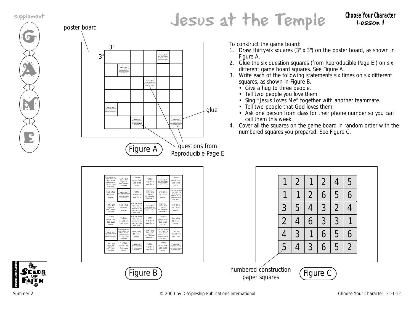



To construct the game board:

- 1. Draw thirty-six squares (3" x 3") on the poster board, as shown in Figure A.
- 2. Glue the six question squares (from Reproducible Page E) on six different game board squares. See Figure A.
- 3. Write each of the following statements six times on six different squares, as shown in Figure B.
	- Give a hug to three people.
	- Tell two people you love them.
	- Sing "Jesus Loves Me" together with another teammate.
	- Tell two people that God loves them.
	- Ask one person from class for their phone number so you can call them this week.
- 4. Cover all the squares on the game board in random order with the numbered squares you prepared. See Figure C.

| Ask one person<br>from class for<br>their phone<br>number so you<br>can call them<br>this week     | Sing "Jesus<br>Loves Met<br>together<br>with another<br>teammate                                                      | Tell two<br>people that<br>God loves<br>them                                                      | Tell two<br>people you<br>love them                                                    | Yes or No?<br>Jesus' family fitzwird to<br>the city of Jerusalem to<br>celebrate the Passawe?  | Tell two<br>people that<br>God loves<br>them                                                                            |
|----------------------------------------------------------------------------------------------------|-----------------------------------------------------------------------------------------------------------------------|---------------------------------------------------------------------------------------------------|----------------------------------------------------------------------------------------|------------------------------------------------------------------------------------------------|-------------------------------------------------------------------------------------------------------------------------|
| Give a hug<br>to three<br>people.                                                                  | Yes or Not<br>blina' naverby hard trackled<br>for one day before they<br>realized that Joseph and<br>and sales them." | Tell twn<br>people you<br>love them                                                               | Sing "Jesus<br>Loves Met<br>together<br>with another<br>teammate                       | Give a hug<br>to three<br>people.                                                              | Ask one person<br>from class for<br>their phone<br>number so you<br>can call them<br>this week                          |
| Sing "Jesus<br>Lowis Mer<br>together<br>with another<br>teammate                                   | Give a hug<br>to three<br>people.                                                                                     | Ask one person<br>from class for<br>their phone<br>number so you<br>can call them<br>this week    | Yes or No?<br>When Jesus' parents<br>cally found Jose, he was<br>hidro in an old tien. | Sing "Jesus<br>Loves Met<br>together<br>with another<br>teammate                               | Give a hug<br>to three<br>people.                                                                                       |
| Tell two<br>people that<br>God loves<br>them                                                       | Tell twn<br>people you<br>love them                                                                                   | Ask one person<br>from class for<br>their phone<br>number so you<br>can call them<br>this week    | Tell twn<br>people you<br>love them                                                    | Tell twn<br>people that<br>God Inves<br>them                                                   | Give a hug<br>to three<br>people.                                                                                       |
| Yes or Not<br>Inux' garents found him<br>in the formale courts after<br>searching for thirty days. | Ask one person<br>from class for<br>their phone<br>number so you<br>can call them.<br>this week                       | Give a hug<br>to three<br>people.                                                                 | Sing "Jesus<br>Loves Me*<br>together<br>with another<br>teammate                       | Ask one person<br>from class for<br>their phone<br>number so you<br>can call them<br>this week | Tell two<br>people you<br>love them                                                                                     |
| Sing "Jesus<br>Lowis Mer<br>together<br>with another<br>teammate                                   | Tell twn<br>people that<br>God Inves<br>them                                                                          | Yes or No?<br>The people who heard<br>Joua were amazed at<br>his understanding and<br>his amount. | Tell twn<br>people you<br>love them                                                    | Tell twn<br>people that<br>God loves<br>them                                                   | Yes or No?<br>itsus obeyed his parents.<br>and returned home with<br>then after they found him<br>In the temple courts. |





Summer 2 © 2000 by Discipleship Publications International Choose Your Character 21-1-12

Lesson 1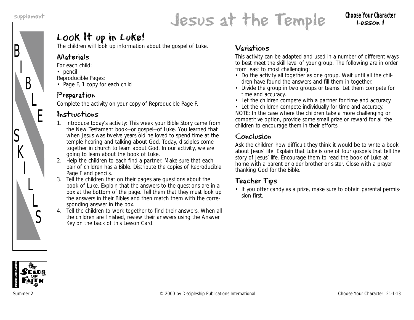

# supplement **Jesus at the Temple** choose your character

# Lesson 1

# Look It up in Luke!

The children will look up information about the gospel of Luke.

#### Materials

- *For each child:*
- pencil
- *Reproducible Pages:*
- Page F, 1 copy for each child

## Preparation

Complete the activity on your copy of Reproducible Page F.

## Instructions

- 1. Introduce today's activity: *This week your Bible Story came from the New Testament book—or gospel—of Luke. You learned that when Jesus was twelve years old he loved to spend time at the temple hearing and talking about God. Today, disciples come together in church to learn about God. In our activity, we are going to learn about the book of Luke.*
- 2. Help the children to each find a partner. Make sure that each pair of children has a Bible. Distribute the copies of Reproducible Page F and pencils.
- 3. Tell the children that on their pages are questions about the book of Luke. Explain that the answers to the questions are in a box at the bottom of the page. Tell them that they must look up the answers in their Bibles and then match them with the corresponding answer in the box.
- 4. Tell the children to work together to find their answers. When all the children are finished, review their answers using the Answer Key on the back of this Lesson Card.

## Variations

This activity can be adapted and used in a number of different ways to best meet the skill level of your group. The following are in order from least to most challenging:

- Do the activity all together as one group. Wait until all the children have found the answers and fill them in together.
- Divide the group in two groups or teams. Let them compete for time and accuracy.
- Let the children compete with a partner for time and accuracy.
- Let the children compete individually for time and accuracy. NOTE: In the case where the children take a more challenging or competitive option, provide some small prize or reward for all the

children to encourage them in their efforts.

#### Conclusion

Ask the children how difficult they think it would be to write a book about Jesus' life. Explain that Luke is one of four gospels that tell the story of Jesus' life. Encourage them to read the book of Luke at home with a parent or older brother or sister. Close with a prayer thanking God for the Bible.

# Teacher Tips

• If you offer candy as a prize, make sure to obtain parental permission first.

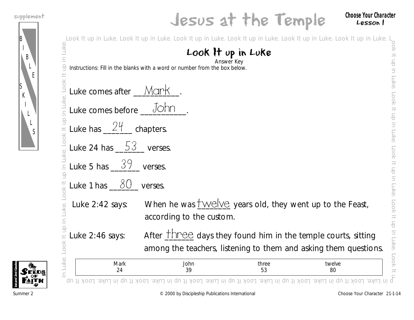

L E

B I B

S K

> I L L S

# supplement **Jesus at the Temple** choose your character

|                                                                                                                                                                     |                                                                            |                    | Look It up in Luke. Look It up in Luke. Look It up in Luke. Look It up in Luke. Look It up in Luke. Look It up in Luke. Lo |
|---------------------------------------------------------------------------------------------------------------------------------------------------------------------|----------------------------------------------------------------------------|--------------------|----------------------------------------------------------------------------------------------------------------------------|
|                                                                                                                                                                     |                                                                            | Look It up in Luke |                                                                                                                            |
|                                                                                                                                                                     | Instructions: Fill in the blanks with a word or number from the box below. | Answer Key         |                                                                                                                            |
|                                                                                                                                                                     |                                                                            |                    |                                                                                                                            |
| Luke comes after Mark                                                                                                                                               |                                                                            |                    |                                                                                                                            |
| n Luk<br>Luke comes before ___ John                                                                                                                                 |                                                                            |                    |                                                                                                                            |
|                                                                                                                                                                     |                                                                            |                    |                                                                                                                            |
|                                                                                                                                                                     |                                                                            |                    |                                                                                                                            |
| $\frac{24}{\frac{3}{2}}$ Luke has $\frac{24}{\frac{3}{2}}$ chapters.<br>Luke 24 has $\frac{53}{\frac{3}{2}}$ verses.<br>Luke 5 has $\frac{39}{\frac{9}{2}}$ verses. |                                                                            |                    |                                                                                                                            |
|                                                                                                                                                                     |                                                                            |                    |                                                                                                                            |
|                                                                                                                                                                     |                                                                            |                    |                                                                                                                            |
| ook It<br>Luke 1 has $\frac{80}{1}$ verses.                                                                                                                         |                                                                            |                    |                                                                                                                            |
| Luke 2:42 says:                                                                                                                                                     | When he was $\frac{f}{f}$ welve years old, they went up to the Feast,      |                    |                                                                                                                            |
|                                                                                                                                                                     | according to the custom.                                                   |                    |                                                                                                                            |
|                                                                                                                                                                     |                                                                            |                    |                                                                                                                            |
| Luke 2:46 says:                                                                                                                                                     | After $\tt{three}$ days they found him in the temple courts, sitting       |                    |                                                                                                                            |
|                                                                                                                                                                     |                                                                            |                    | among the teachers, listening to them and asking them questions.                                                           |
| Mark<br>24                                                                                                                                                          | John<br>39                                                                 | three<br>53        | twelve<br>80                                                                                                               |
|                                                                                                                                                                     |                                                                            |                    |                                                                                                                            |



p in Luke. Look It up in Luke. Look It up in Luke. Look It up in Luke. Look It up in Luke. Look It up in Luke. Look It<br>Pup in Luke. Look It up in Luke. Look It up in Luke. Look It up in Luke. Look It up in Luke. Look It up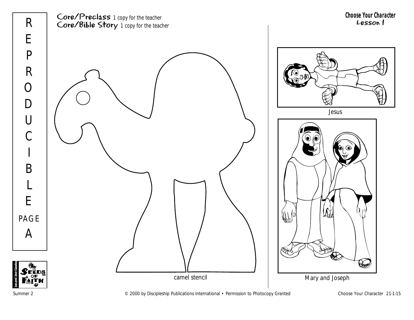

**1st and 2nd Grades**

Summer 2 Choose Your Character 21-1-15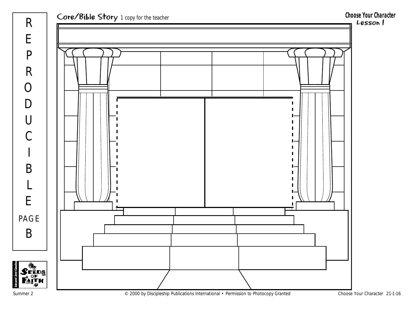R E P R O D U C I B L E PAGE B



**1st and 2nd Grades**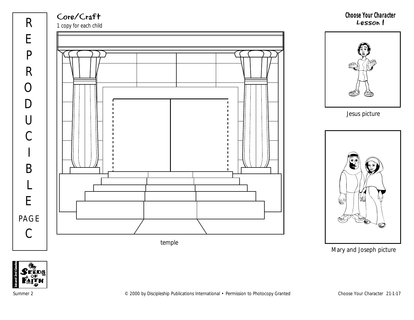

R

E

P

R

 $\bigcirc$ 

D

U

C

I

B

L

E

 $\overline{C}$ 





Jesus picture



Mary and Joseph picture

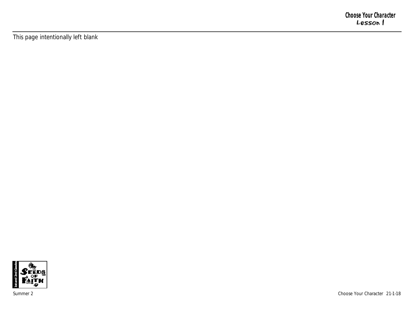This page intentionally left blank



Summer 2 Choose Your Character 21-1-18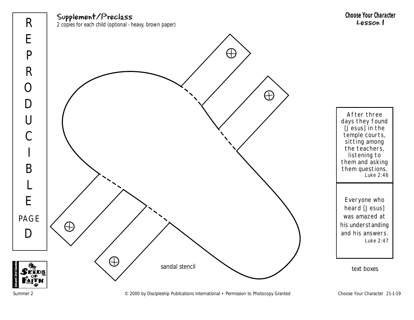

Summer 2 © 2000 by Discipleship Publications International • Permission to Photocopy Granted Choose Your Character 21-1-19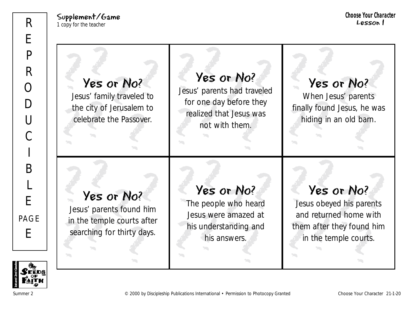Supplement/Game 1 copy for the teacher

**Choose Your Character** Lesson 1